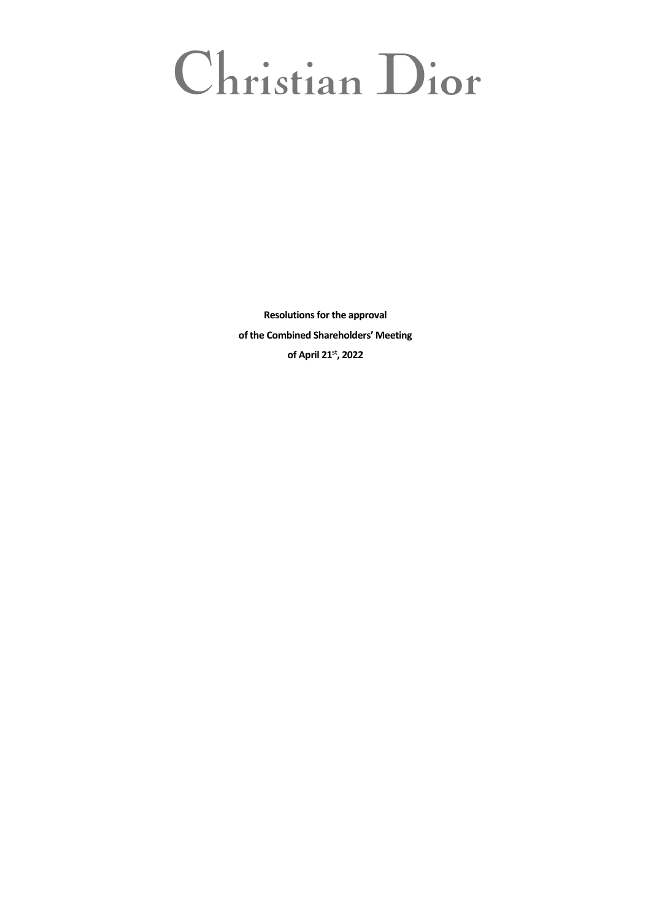# Christian Dior

**Resolutions for the approval of the Combined Shareholders' Meeting of April 21st, 2022**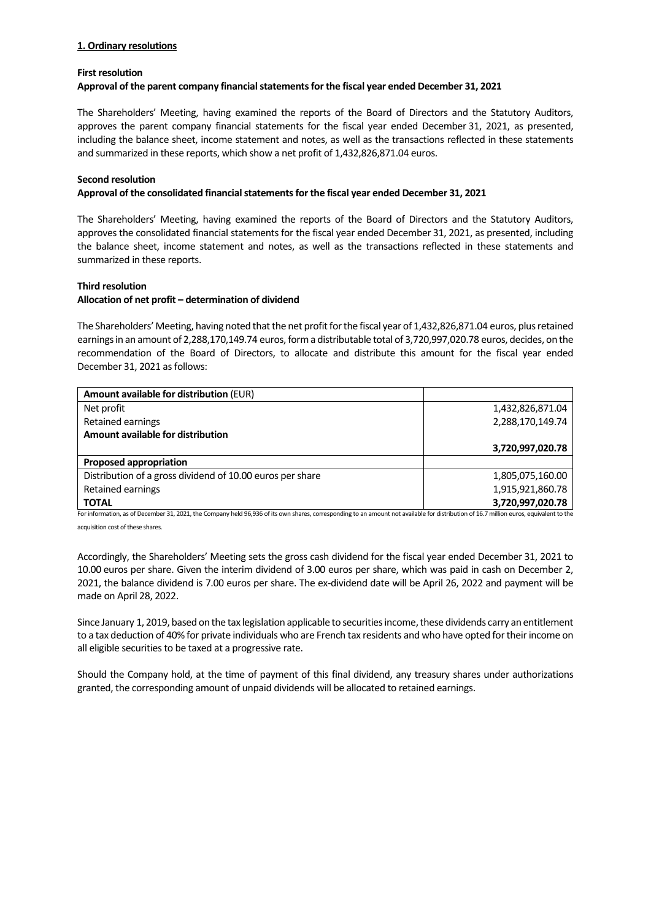## **1. Ordinary resolutions**

#### **First resolution**

#### **Approval of the parent company financialstatementsfor the fiscal year ended December 31, 2021**

The Shareholders' Meeting, having examined the reports of the Board of Directors and the Statutory Auditors, approves the parent company financial statements for the fiscal year ended December 31, 2021, as presented, including the balance sheet, income statement and notes, as well as the transactions reflected in these statements and summarized in these reports, which show a net profit of 1,432,826,871.04 euros.

#### **Second resolution**

## **Approval of the consolidated financialstatementsfor the fiscal year ended December 31, 2021**

The Shareholders' Meeting, having examined the reports of the Board of Directors and the Statutory Auditors, approves the consolidated financial statements for the fiscal year ended December 31, 2021, as presented, including the balance sheet, income statement and notes, as well as the transactions reflected in these statements and summarized in these reports.

## **Third resolution**

# **Allocation of net profit – determination of dividend**

The Shareholders' Meeting, having noted that the net profit for the fiscal year of 1,432,826,871.04 euros, plus retained earnings in an amount of 2,288,170,149.74 euros, form a distributable total of 3,720,997,020.78 euros, decides, on the recommendation of the Board of Directors, to allocate and distribute this amount for the fiscal year ended December 31, 2021 as follows:

| Amount available for distribution (EUR)                   |                  |
|-----------------------------------------------------------|------------------|
| Net profit                                                | 1,432,826,871.04 |
| Retained earnings                                         | 2,288,170,149.74 |
| Amount available for distribution                         |                  |
|                                                           | 3,720,997,020.78 |
| <b>Proposed appropriation</b>                             |                  |
| Distribution of a gross dividend of 10.00 euros per share | 1,805,075,160.00 |
| Retained earnings                                         | 1,915,921,860.78 |
| <b>TOTAL</b>                                              | 3,720,997,020.78 |

For information, as of December 31, 2021, the Company held 96,936 of its own shares, corresponding to an amount not available for distribution of 16.7 million euros, equivalent to the acquisition cost of these shares.

Accordingly, the Shareholders' Meeting sets the gross cash dividend for the fiscal year ended December 31, 2021 to 10.00 euros per share. Given the interim dividend of 3.00 euros per share, which was paid in cash on December 2, 2021, the balance dividend is 7.00 euros per share. The ex‐dividend date will be April 26, 2022 and payment will be made on April 28, 2022.

Since January 1, 2019, based on the tax legislation applicable to securities income, these dividends carry an entitlement to a tax deduction of 40% for private individuals who are French tax residents and who have opted for their income on all eligible securities to be taxed at a progressive rate.

Should the Company hold, at the time of payment of this final dividend, any treasury shares under authorizations granted, the corresponding amount of unpaid dividends will be allocated to retained earnings.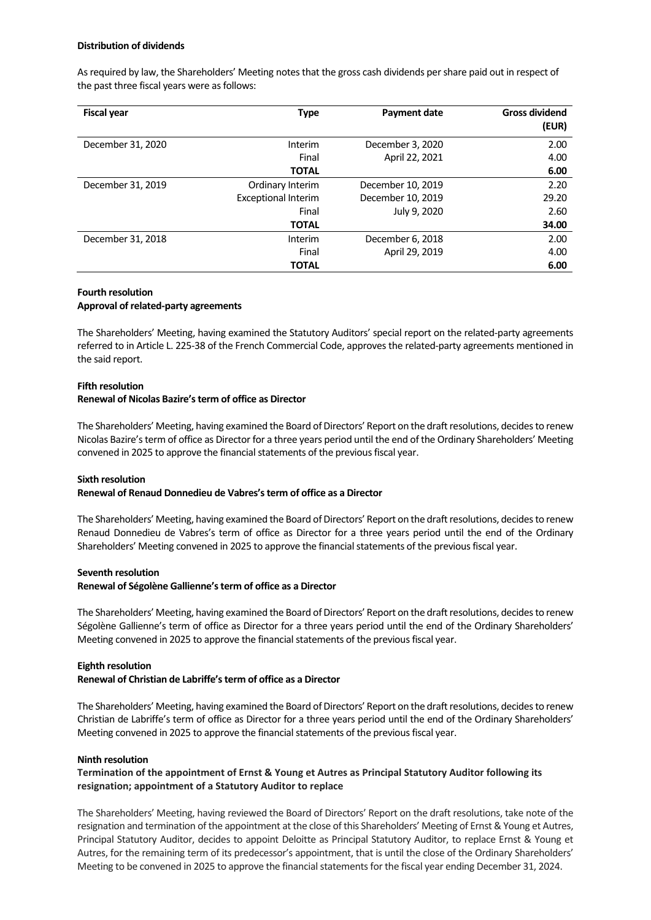#### **Distribution of dividends**

As required by law, the Shareholders' Meeting notes that the gross cash dividends per share paid out in respect of the past three fiscal years were as follows:

| <b>Fiscal year</b> | <b>Type</b>                | <b>Payment date</b> | <b>Gross dividend</b><br>(EUR) |
|--------------------|----------------------------|---------------------|--------------------------------|
| December 31, 2020  | Interim                    | December 3, 2020    | 2.00                           |
|                    | Final                      | April 22, 2021      | 4.00                           |
|                    | <b>TOTAL</b>               |                     | 6.00                           |
| December 31, 2019  | Ordinary Interim           | December 10, 2019   | 2.20                           |
|                    | <b>Exceptional Interim</b> | December 10, 2019   | 29.20                          |
|                    | Final                      | July 9, 2020        | 2.60                           |
|                    | <b>TOTAL</b>               |                     | 34.00                          |
| December 31, 2018  | Interim                    | December 6, 2018    | 2.00                           |
|                    | Final                      | April 29, 2019      | 4.00                           |
|                    | <b>TOTAL</b>               |                     | 6.00                           |

#### **Fourth resolution Approval of related‐party agreements**

The Shareholders' Meeting, having examined the Statutory Auditors' special report on the related‐party agreements referred to in Article L. 225‐38 of the French Commercial Code, approves the related‐party agreements mentioned in the said report.

#### **Fifth resolution Renewal of Nicolas Bazire'sterm of office as Director**

The Shareholders' Meeting, having examined the Board of Directors' Report on the draft resolutions, decides to renew Nicolas Bazire'sterm of office as Director for a three years period until the end of the Ordinary Shareholders' Meeting convened in 2025 to approve the financial statements of the previous fiscal year.

# **Sixth resolution**

# **Renewal of Renaud Donnedieu de Vabres'sterm of office as a Director**

The Shareholders' Meeting, having examined the Board of Directors' Report on the draft resolutions, decides to renew Renaud Donnedieu de Vabres's term of office as Director for a three years period until the end of the Ordinary Shareholders' Meeting convened in 2025 to approve the financial statements of the previous fiscal year.

# **Seventh resolution**

#### **Renewal of Ségolène Gallienne'sterm of office as a Director**

The Shareholders' Meeting, having examined the Board of Directors' Report on the draft resolutions, decides to renew Ségolène Gallienne's term of office as Director for a three years period until the end of the Ordinary Shareholders' Meeting convened in 2025 to approve the financial statements of the previous fiscal year.

# **Eighth resolution**

# **Renewal of Christian de Labriffe'sterm of office as a Director**

The Shareholders' Meeting, having examined the Board of Directors' Report on the draft resolutions, decides to renew Christian de Labriffe's term of office as Director for a three years period until the end of the Ordinary Shareholders' Meeting convened in 2025 to approve the financial statements of the previous fiscal year.

#### **Ninth resolution**

# **Termination of the appointment of Ernst & Young et Autres as Principal Statutory Auditor following its resignation; appointment of a Statutory Auditor to replace**

The Shareholders' Meeting, having reviewed the Board of Directors' Report on the draft resolutions, take note of the resignation and termination of the appointment at the close of this Shareholders' Meeting of Ernst & Young et Autres, Principal Statutory Auditor, decides to appoint Deloitte as Principal Statutory Auditor, to replace Ernst & Young et Autres, for the remaining term of its predecessor's appointment, that is until the close of the Ordinary Shareholders' Meeting to be convened in 2025 to approve the financial statements for the fiscal year ending December 31, 2024.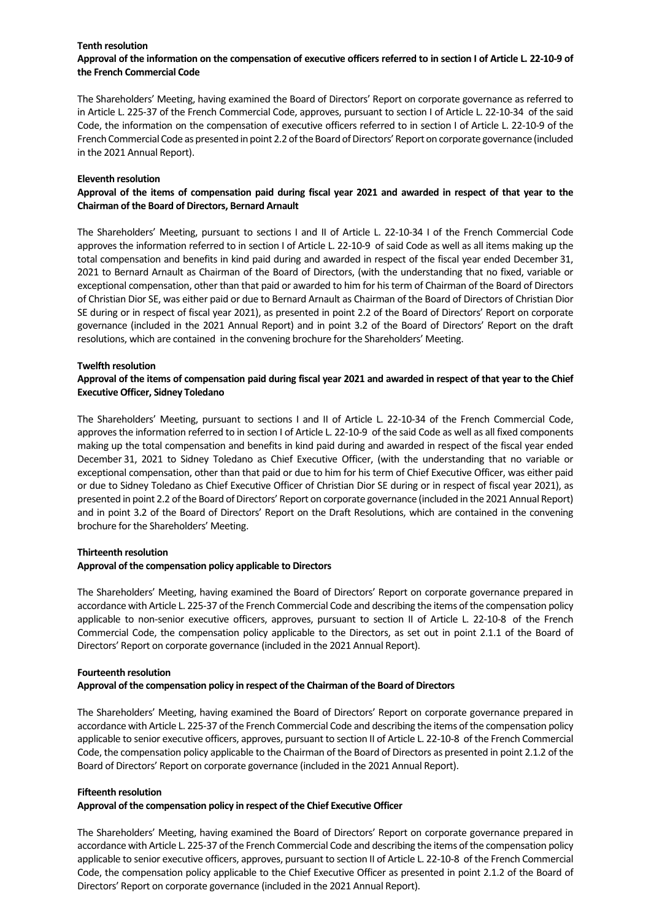## **Tenth resolution**

# Approval of the information on the compensation of executive officers referred to in section I of Article L. 22-10-9 of **the French Commercial Code**

The Shareholders' Meeting, having examined the Board of Directors' Report on corporate governance as referred to in Article L. 225‐37 of the French Commercial Code, approves, pursuant to section I of Article L. 22‐10‐34 of the said Code, the information on the compensation of executive officers referred to in section I of Article L. 22‐10‐9 of the French Commercial Code as presented in point 2.2 of the Board of Directors' Report on corporate governance (included in the 2021 Annual Report).

## **Eleventh resolution**

# Approval of the items of compensation paid during fiscal year 2021 and awarded in respect of that year to the **Chairman of the Board of Directors, Bernard Arnault**

The Shareholders' Meeting, pursuant to sections I and II of Article L. 22-10-34 I of the French Commercial Code approves the information referred to in section I of Article L. 22-10-9 of said Code as well as all items making up the total compensation and benefits in kind paid during and awarded in respect of the fiscal year ended December 31, 2021 to Bernard Arnault as Chairman of the Board of Directors, (with the understanding that no fixed, variable or exceptional compensation, other than that paid or awarded to him for histerm of Chairman of the Board of Directors of Christian Dior SE, was either paid or due to Bernard Arnault as Chairman of the Board of Directors of Christian Dior SE during or in respect of fiscal year 2021), as presented in point 2.2 of the Board of Directors' Report on corporate governance (included in the 2021 Annual Report) and in point 3.2 of the Board of Directors' Report on the draft resolutions, which are contained in the convening brochure for the Shareholders' Meeting.

## **Twelfth resolution**

# Approval of the items of compensation paid during fiscal year 2021 and awarded in respect of that year to the Chief **Executive Officer, Sidney Toledano**

The Shareholders' Meeting, pursuant to sections I and II of Article L. 22‐10‐34 of the French Commercial Code, approves the information referred to in section I of Article L. 22-10-9 of the said Code as well as all fixed components making up the total compensation and benefits in kind paid during and awarded in respect of the fiscal year ended December 31, 2021 to Sidney Toledano as Chief Executive Officer, (with the understanding that no variable or exceptional compensation, other than that paid or due to him for his term of Chief Executive Officer, was either paid or due to Sidney Toledano as Chief Executive Officer of Christian Dior SE during or in respect of fiscal year 2021), as presented in point 2.2 of the Board of Directors' Report on corporate governance (included in the 2021 Annual Report) and in point 3.2 of the Board of Directors' Report on the Draft Resolutions, which are contained in the convening brochure for the Shareholders' Meeting.

# **Thirteenth resolution**

#### **Approval of the compensation policy applicable to Directors**

The Shareholders' Meeting, having examined the Board of Directors' Report on corporate governance prepared in accordance with Article L. 225-37 of the French Commercial Code and describing the items of the compensation policy applicable to non-senior executive officers, approves, pursuant to section II of Article L. 22-10-8 of the French Commercial Code, the compensation policy applicable to the Directors, as set out in point 2.1.1 of the Board of Directors' Report on corporate governance (included in the 2021 Annual Report).

#### **Fourteenth resolution**

# **Approval of the compensation policy in respect of the Chairman of the Board of Directors**

The Shareholders' Meeting, having examined the Board of Directors' Report on corporate governance prepared in accordance with Article L. 225-37 of the French Commercial Code and describing the items of the compensation policy applicable to senior executive officers, approves, pursuant to section II of Article L. 22-10-8 of the French Commercial Code, the compensation policy applicable to the Chairman of the Board of Directors as presented in point 2.1.2 of the Board of Directors' Report on corporate governance (included in the 2021 Annual Report).

#### **Fifteenth resolution**

# **Approval of the compensation policy in respect of the Chief Executive Officer**

The Shareholders' Meeting, having examined the Board of Directors' Report on corporate governance prepared in accordance with Article L. 225-37 of the French Commercial Code and describing the items of the compensation policy applicable to senior executive officers, approves, pursuant to section II of Article L. 22-10-8 of the French Commercial Code, the compensation policy applicable to the Chief Executive Officer as presented in point 2.1.2 of the Board of Directors' Report on corporate governance (included in the 2021 Annual Report).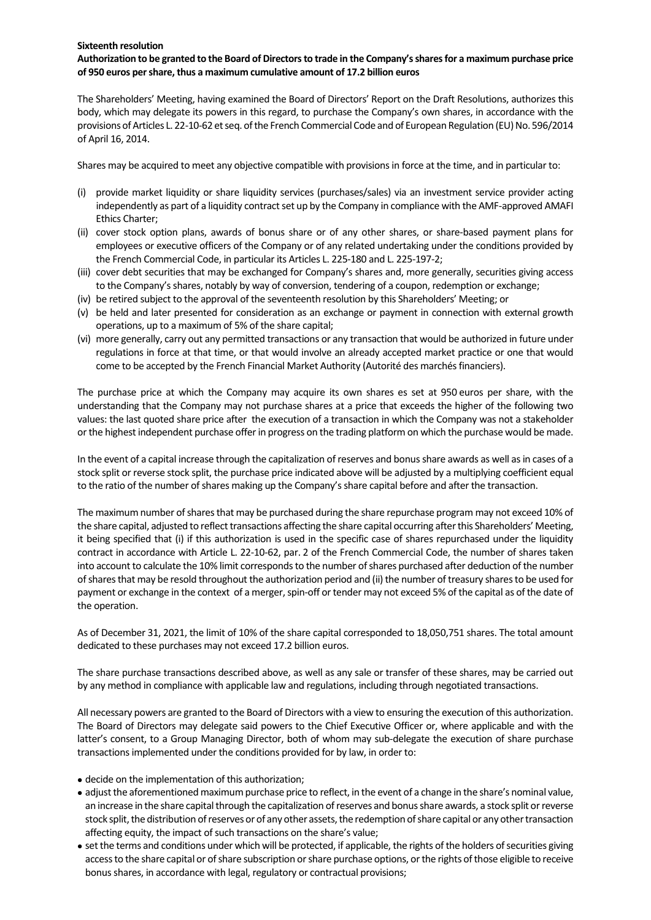## **Sixteenth resolution**

# Authorization to be granted to the Board of Directors to trade in the Company's shares for a maximum purchase price **of 950 euros pershare, thus a maximum cumulative amount of 17.2 billion euros**

The Shareholders' Meeting, having examined the Board of Directors' Report on the Draft Resolutions, authorizes this body, which may delegate its powers in this regard, to purchase the Company's own shares, in accordance with the provisions of Articles L. 22-10-62 et seq. of the French Commercial Code and of European Regulation (EU) No. 596/2014 of April 16, 2014.

Shares may be acquired to meet any objective compatible with provisionsin force at the time, and in particular to:

- (i) provide market liquidity or share liquidity services (purchases/sales) via an investment service provider acting independently as part of a liquidity contract set up by the Company in compliance with the AMF-approved AMAFI Ethics Charter;
- (ii) cover stock option plans, awards of bonus share or of any other shares, or share‐based payment plans for employees or executive officers of the Company or of any related undertaking under the conditions provided by the French Commercial Code, in particular its Articles L. 225‐180 and L. 225‐197‐2;
- (iii) cover debt securities that may be exchanged for Company's shares and, more generally, securities giving access to the Company's shares, notably by way of conversion, tendering of a coupon, redemption or exchange;
- (iv) be retired subject to the approval of the seventeenth resolution by this Shareholders' Meeting; or
- (v) be held and later presented for consideration as an exchange or payment in connection with external growth operations, up to a maximum of 5% of the share capital;
- (vi) more generally, carry out any permitted transactions or any transaction that would be authorized in future under regulations in force at that time, or that would involve an already accepted market practice or one that would come to be accepted by the French Financial Market Authority (Autorité des marchés financiers).

The purchase price at which the Company may acquire its own shares es set at 950 euros per share, with the understanding that the Company may not purchase shares at a price that exceeds the higher of the following two values: the last quoted share price after the execution of a transaction in which the Company was not a stakeholder orthe highest independent purchase offerin progress on the trading platform on which the purchase would be made.

In the event of a capital increase through the capitalization of reserves and bonus share awards as well as in cases of a stock split or reverse stock split, the purchase price indicated above will be adjusted by a multiplying coefficient equal to the ratio of the number of shares making up the Company's share capital before and after the transaction.

The maximum number of shares that may be purchased during the share repurchase program may not exceed 10% of the share capital, adjusted to reflect transactions affecting the share capital occurring after this Shareholders' Meeting, it being specified that (i) if this authorization is used in the specific case of shares repurchased under the liquidity contract in accordance with Article L. 22‐10‐62, par. 2 of the French Commercial Code, the number of shares taken into account to calculate the 10% limit corresponds to the number of shares purchased after deduction of the number ofsharesthat may be resold throughout the authorization period and (ii) the number of treasury sharesto be used for payment or exchange in the context of a merger, spin-off or tender may not exceed 5% of the capital as of the date of the operation.

As of December 31, 2021, the limit of 10% of the share capital corresponded to 18,050,751 shares. The total amount dedicated to these purchases may not exceed 17.2 billion euros.

The share purchase transactions described above, as well as any sale or transfer of these shares, may be carried out by any method in compliance with applicable law and regulations, including through negotiated transactions.

All necessary powers are granted to the Board of Directors with a view to ensuring the execution of this authorization. The Board of Directors may delegate said powers to the Chief Executive Officer or, where applicable and with the latter's consent, to a Group Managing Director, both of whom may sub-delegate the execution of share purchase transactionsimplemented under the conditions provided for by law, in order to:

- decide on the implementation of this authorization;
- adjust the aforementioned maximum purchase price to reflect, in the event of a change in the share's nominal value, an increase in the share capital through the capitalization of reserves and bonus share awards, a stock split or reverse stock split, the distribution of reserves or of any other assets, the redemption of share capital or any other transaction affecting equity, the impact of such transactions on the share's value;
- set the terms and conditions under which will be protected, if applicable, the rights of the holders of securities giving access to the share capital or of share subscription or share purchase options, or the rights of those eligible to receive bonus shares, in accordance with legal, regulatory or contractual provisions;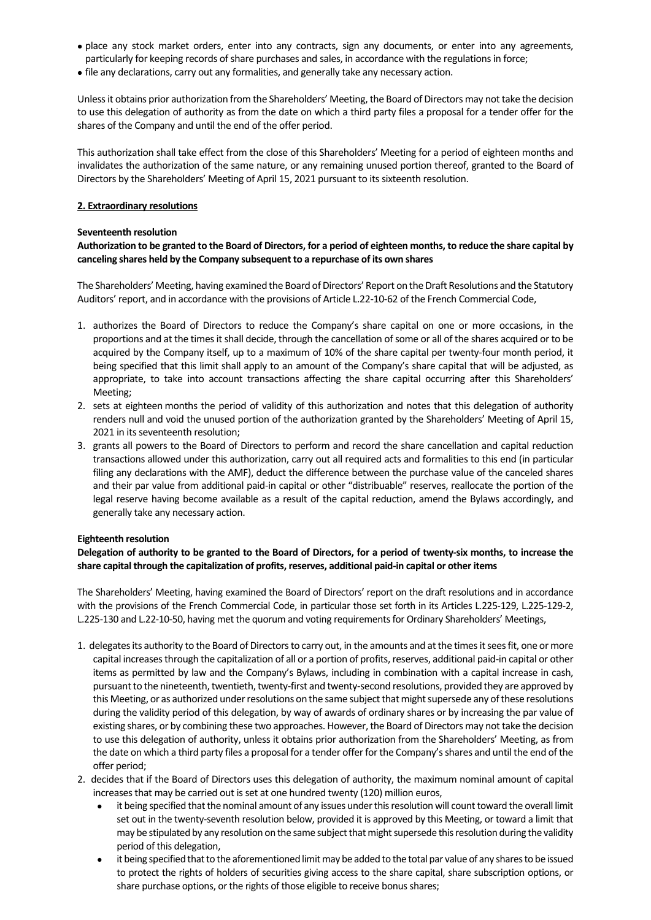- place any stock market orders, enter into any contracts, sign any documents, or enter into any agreements, particularly for keeping records of share purchases and sales, in accordance with the regulations in force;
- file any declarations, carry out any formalities, and generally take any necessary action.

Unless it obtains prior authorization from the Shareholders' Meeting, the Board of Directors may not take the decision to use this delegation of authority as from the date on which a third party files a proposal for a tender offer for the shares of the Company and until the end of the offer period.

This authorization shall take effect from the close of this Shareholders' Meeting for a period of eighteen months and invalidates the authorization of the same nature, or any remaining unused portion thereof, granted to the Board of Directors by the Shareholders' Meeting of April 15, 2021 pursuant to its sixteenth resolution.

## **2. Extraordinary resolutions**

## **Seventeenth resolution**

# Authorization to be granted to the Board of Directors, for a period of eighteen months, to reduce the share capital by **canceling shares held by the Company subsequent to a repurchase of its own shares**

The Shareholders' Meeting, having examined the Board of Directors' Report on the Draft Resolutions and the Statutory Auditors' report, and in accordance with the provisions of Article L.22‐10‐62 of the French Commercial Code,

- 1. authorizes the Board of Directors to reduce the Company's share capital on one or more occasions, in the proportions and at the times it shall decide, through the cancellation of some or all of the shares acquired or to be acquired by the Company itself, up to a maximum of 10% of the share capital per twenty-four month period, it being specified that this limit shall apply to an amount of the Company's share capital that will be adjusted, as appropriate, to take into account transactions affecting the share capital occurring after this Shareholders' Meeting;
- 2. sets at eighteen months the period of validity of this authorization and notes that this delegation of authority renders null and void the unused portion of the authorization granted by the Shareholders' Meeting of April 15, 2021 in its seventeenth resolution;
- 3. grants all powers to the Board of Directors to perform and record the share cancellation and capital reduction transactions allowed under this authorization, carry out all required acts and formalities to this end (in particular filing any declarations with the AMF), deduct the difference between the purchase value of the canceled shares and their par value from additional paid‐in capital or other "distribuable" reserves, reallocate the portion of the legal reserve having become available as a result of the capital reduction, amend the Bylaws accordingly, and generally take any necessary action.

# **Eighteenth resolution**

# Delegation of authority to be granted to the Board of Directors, for a period of twenty-six months, to increase the **share capital through the capitalization of profits,reserves, additional paid‐in capital or other items**

The Shareholders' Meeting, having examined the Board of Directors' report on the draft resolutions and in accordance with the provisions of the French Commercial Code, in particular those set forth in its Articles L.225‐129, L.225‐129‐2, L.225-130 and L.22-10-50, having met the quorum and voting requirements for Ordinary Shareholders' Meetings,

- 1. delegates its authority to the Board of Directors to carry out, in the amounts and at the times it sees fit, one or more capital increasesthrough the capitalization of all or a portion of profits, reserves, additional paid‐in capital or other items as permitted by law and the Company's Bylaws, including in combination with a capital increase in cash, pursuant to the nineteenth, twentieth, twenty-first and twenty-second resolutions, provided they are approved by this Meeting, or as authorized under resolutions on the same subject that might supersede any of these resolutions during the validity period of this delegation, by way of awards of ordinary shares or by increasing the par value of existing shares, or by combining these two approaches. However, the Board of Directors may not take the decision to use this delegation of authority, unless it obtains prior authorization from the Shareholders' Meeting, as from the date on which a third party files a proposal for a tender offer for the Company's shares and until the end of the offer period;
- 2. decides that if the Board of Directors uses this delegation of authority, the maximum nominal amount of capital increases that may be carried out is set at one hundred twenty (120) million euros,
	- it being specified that the nominal amount of any issues under this resolution will count toward the overall limit set out in the twenty-seventh resolution below, provided it is approved by this Meeting, or toward a limit that may be stipulated by any resolution on the same subject that might supersede this resolution during the validity period of this delegation,
	- it being specified that to the aforementioned limit may be added to the total par value of any shares to be issued to protect the rights of holders of securities giving access to the share capital, share subscription options, or share purchase options, or the rights of those eligible to receive bonus shares;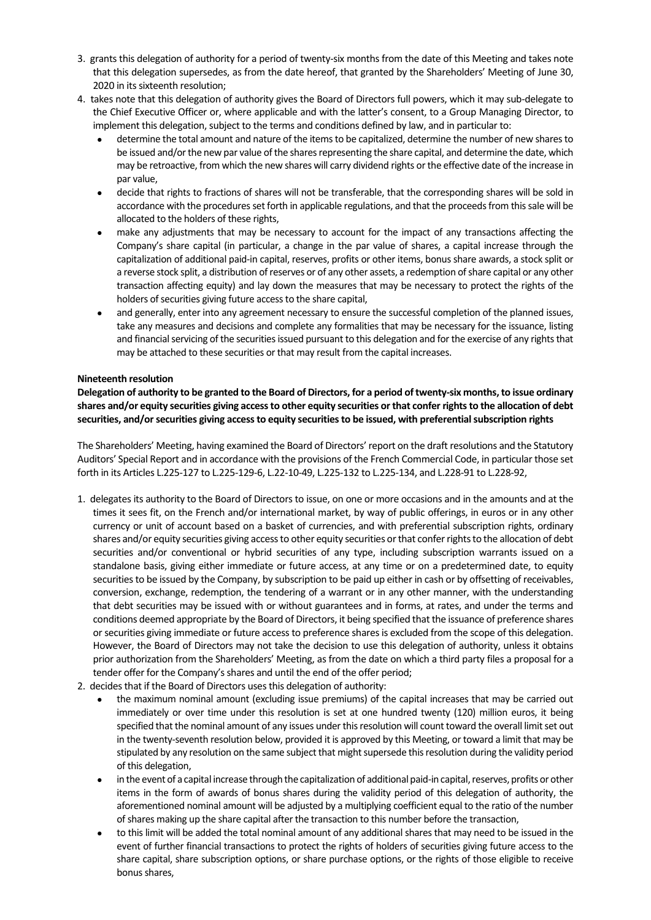- 3. grants this delegation of authority for a period of twenty-six months from the date of this Meeting and takes note that this delegation supersedes, as from the date hereof, that granted by the Shareholders' Meeting of June 30, 2020 in its sixteenth resolution;
- 4. takes note that this delegation of authority gives the Board of Directors full powers, which it may sub-delegate to the Chief Executive Officer or, where applicable and with the latter's consent, to a Group Managing Director, to implement this delegation, subject to the terms and conditions defined by law, and in particular to:
	- determine the total amount and nature of the itemsto be capitalized, determine the number of new sharesto be issued and/or the new par value of the shares representing the share capital, and determine the date, which may be retroactive, from which the new shares will carry dividend rights orthe effective date of the increase in par value,
	- decide that rights to fractions of shares will not be transferable, that the corresponding shares will be sold in accordance with the procedures set forth in applicable regulations, and that the proceeds from this sale will be allocated to the holders of these rights,
	- make any adjustments that may be necessary to account for the impact of any transactions affecting the Company's share capital (in particular, a change in the par value of shares, a capital increase through the capitalization of additional paid‐in capital, reserves, profits or other items, bonus share awards, a stock split or a reverse stock split, a distribution ofreserves or of any other assets, a redemption ofshare capital or any other transaction affecting equity) and lay down the measures that may be necessary to protect the rights of the holders of securities giving future access to the share capital,
	- and generally, enter into any agreement necessary to ensure the successful completion of the planned issues, take any measures and decisions and complete any formalities that may be necessary for the issuance, listing and financial servicing of the securities issued pursuant to this delegation and for the exercise of any rights that may be attached to these securities or that may result from the capital increases.

# **Nineteenth resolution**

Delegation of authority to be granted to the Board of Directors, for a period of twenty-six months, to issue ordinary shares and/or equity securities giving access to other equity securities or that confer rights to the allocation of debt **securities, and/orsecurities giving accessto equity securitiesto be issued, with preferentialsubscription rights**

The Shareholders' Meeting, having examined the Board of Directors'report on the draft resolutions and the Statutory Auditors' Special Report and in accordance with the provisions of the French Commercial Code, in particular those set forth in its Articles L.225‐127 to L.225‐129‐6, L.22‐10‐49, L.225‐132 to L.225‐134, and L.228‐91 to L.228‐92,

- 1. delegates its authority to the Board of Directors to issue, on one or more occasions and in the amounts and at the times it sees fit, on the French and/or international market, by way of public offerings, in euros or in any other currency or unit of account based on a basket of currencies, and with preferential subscription rights, ordinary shares and/or equity securities giving access to other equity securities or that confer rights to the allocation of debt securities and/or conventional or hybrid securities of any type, including subscription warrants issued on a standalone basis, giving either immediate or future access, at any time or on a predetermined date, to equity securities to be issued by the Company, by subscription to be paid up either in cash or by offsetting of receivables, conversion, exchange, redemption, the tendering of a warrant or in any other manner, with the understanding that debt securities may be issued with or without guarantees and in forms, at rates, and under the terms and conditions deemed appropriate by the Board of Directors, it being specified that the issuance of preference shares or securities giving immediate or future access to preference shares is excluded from the scope of this delegation. However, the Board of Directors may not take the decision to use this delegation of authority, unless it obtains prior authorization from the Shareholders' Meeting, as from the date on which a third party files a proposal for a tender offer for the Company's shares and until the end of the offer period;
- 2. decides that if the Board of Directors uses this delegation of authority:
	- the maximum nominal amount (excluding issue premiums) of the capital increases that may be carried out immediately or over time under this resolution is set at one hundred twenty (120) million euros, it being specified that the nominal amount of any issues under this resolution will count toward the overall limit set out in the twenty‐seventh resolution below, provided it is approved by this Meeting, or toward a limit that may be stipulated by any resolution on the same subject that might supersede this resolution during the validity period of this delegation,
	- in the event of a capital increase through the capitalization of additional paid-in capital, reserves, profits or other items in the form of awards of bonus shares during the validity period of this delegation of authority, the aforementioned nominal amount will be adjusted by a multiplying coefficient equal to the ratio of the number ofshares making up the share capital after the transaction to this number before the transaction,
	- to this limit will be added the total nominal amount of any additional shares that may need to be issued in the event of further financial transactions to protect the rights of holders of securities giving future access to the share capital, share subscription options, or share purchase options, or the rights of those eligible to receive bonus shares,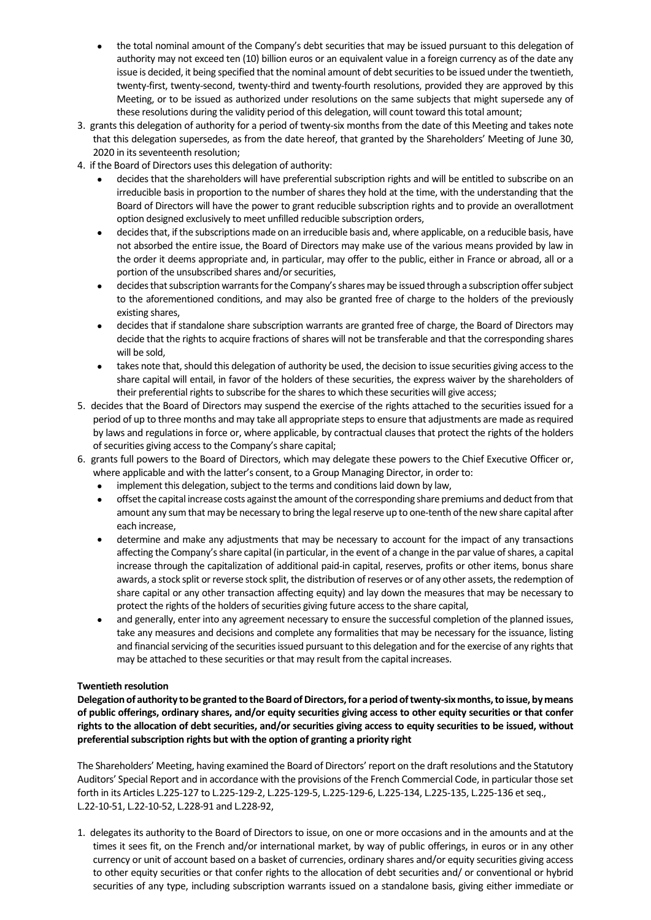- the total nominal amount of the Company's debt securities that may be issued pursuant to this delegation of authority may not exceed ten (10) billion euros or an equivalent value in a foreign currency as of the date any issue is decided, it being specified that the nominal amount of debt securities to be issued under the twentieth, twenty‐first, twenty‐second, twenty‐third and twenty‐fourth resolutions, provided they are approved by this Meeting, or to be issued as authorized under resolutions on the same subjects that might supersede any of these resolutions during the validity period of this delegation, will count toward this total amount;
- 3. grants this delegation of authority for a period of twenty-six months from the date of this Meeting and takes note that this delegation supersedes, as from the date hereof, that granted by the Shareholders' Meeting of June 30, 2020 in its seventeenth resolution:
- 4. if the Board of Directors usesthis delegation of authority:
	- decides that the shareholders will have preferential subscription rights and will be entitled to subscribe on an irreducible basis in proportion to the number of shares they hold at the time, with the understanding that the Board of Directors will have the power to grant reducible subscription rights and to provide an overallotment option designed exclusively to meet unfilled reducible subscription orders,
	- decides that, if the subscriptions made on an irreducible basis and, where applicable, on a reducible basis, have not absorbed the entire issue, the Board of Directors may make use of the various means provided by law in the order it deems appropriate and, in particular, may offer to the public, either in France or abroad, all or a portion of the unsubscribed shares and/or securities,
	- decides that subscription warrants for the Company's shares may be issued through a subscription offer subject to the aforementioned conditions, and may also be granted free of charge to the holders of the previously existing shares,
	- decides that if standalone share subscription warrants are granted free of charge, the Board of Directors may decide that the rights to acquire fractions of shares will not be transferable and that the corresponding shares will be sold,
	- takes note that, should this delegation of authority be used, the decision to issue securities giving access to the share capital will entail, in favor of the holders of these securities, the express waiver by the shareholders of their preferential rights to subscribe for the shares to which these securities will give access;
- 5. decides that the Board of Directors may suspend the exercise of the rights attached to the securities issued for a period of up to three months and may take all appropriate steps to ensure that adjustments are made as required by laws and regulations in force or, where applicable, by contractual clauses that protect the rights of the holders of securities giving access to the Company's share capital;
- 6. grants full powers to the Board of Directors, which may delegate these powers to the Chief Executive Officer or, where applicable and with the latter's consent, to a Group Managing Director, in order to:
	- implement this delegation, subject to the terms and conditions laid down by law,
	- offset the capital increase costs against the amount of the corresponding share premiums and deduct from that amount any sum that may be necessary to bring the legal reserve up to one-tenth of the new share capital after each increase,
	- determine and make any adjustments that may be necessary to account for the impact of any transactions affecting the Company's share capital (in particular, in the event of a change in the par value of shares, a capital increase through the capitalization of additional paid‐in capital, reserves, profits or other items, bonus share awards, a stock split or reverse stock split, the distribution of reserves or of any other assets, the redemption of share capital or any other transaction affecting equity) and lay down the measures that may be necessary to protect the rights of the holders of securities giving future access to the share capital,
	- and generally, enter into any agreement necessary to ensure the successful completion of the planned issues, take any measures and decisions and complete any formalities that may be necessary for the issuance, listing and financial servicing of the securities issued pursuant to this delegation and for the exercise of any rights that may be attached to these securities or that may result from the capital increases.

# **Twentieth resolution**

**Delegation of authority to be granted to theBoard ofDirectors,for aperiodoftwenty‐six months,to issue, by means** of public offerings, ordinary shares, and/or equity securities giving access to other equity securities or that confer rights to the allocation of debt securities, and/or securities giving access to equity securities to be issued, without **preferentialsubscription rights but with the option of granting a priority right** 

The Shareholders' Meeting, having examined the Board of Directors'report on the draft resolutions and the Statutory Auditors' Special Report and in accordance with the provisions of the French Commercial Code, in particular those set forth in its Articles L.225‐127 to L.225‐129‐2, L.225‐129‐5, L.225‐129‐6, L.225‐134, L.225‐135, L.225‐136 etseq., L.22‐10‐51, L.22‐10‐52, L.228‐91 and L.228‐92,

1. delegates its authority to the Board of Directors to issue, on one or more occasions and in the amounts and at the times it sees fit, on the French and/or international market, by way of public offerings, in euros or in any other currency or unit of account based on a basket of currencies, ordinary shares and/or equity securities giving access to other equity securities or that confer rights to the allocation of debt securities and/ or conventional or hybrid securities of any type, including subscription warrants issued on a standalone basis, giving either immediate or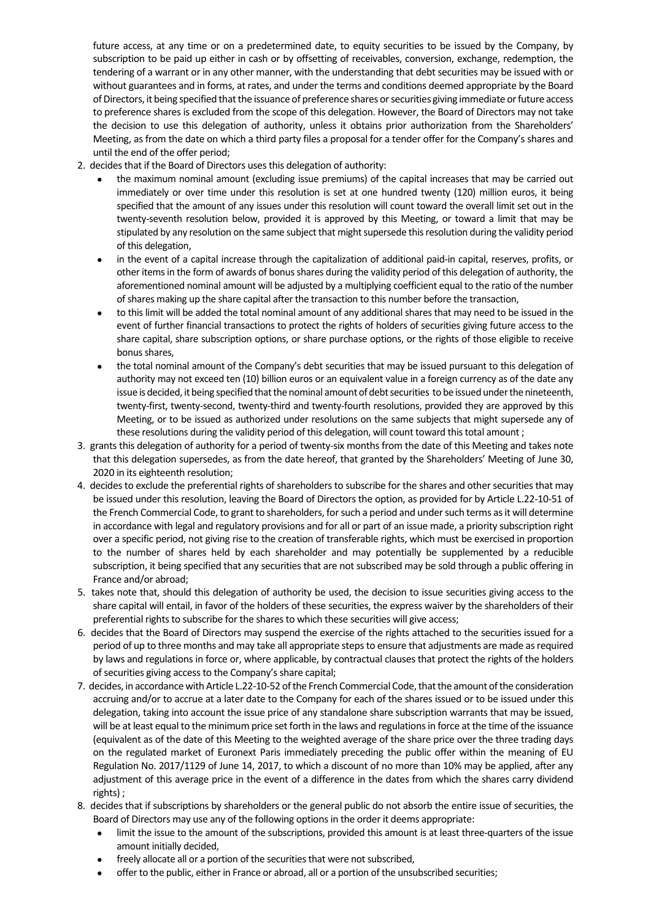future access, at any time or on a predetermined date, to equity securities to be issued by the Company, by subscription to be paid up either in cash or by offsetting of receivables, conversion, exchange, redemption, the tendering of a warrant or in any other manner, with the understanding that debt securities may be issued with or without guarantees and in forms, at rates, and under the terms and conditions deemed appropriate by the Board of Directors, it being specified that the issuance of preference shares or securities giving immediate or future access to preference shares is excluded from the scope of this delegation. However, the Board of Directors may not take the decision to use this delegation of authority, unless it obtains prior authorization from the Shareholders' Meeting, as from the date on which a third party files a proposal for a tender offer for the Company's shares and until the end of the offer period;

- 2. decides that if the Board of Directors uses this delegation of authority:
	- the maximum nominal amount (excluding issue premiums) of the capital increases that may be carried out immediately or over time under this resolution is set at one hundred twenty (120) million euros, it being specified that the amount of any issues under this resolution will count toward the overall limit set out in the twenty‐seventh resolution below, provided it is approved by this Meeting, or toward a limit that may be stipulated by any resolution on the same subject that might supersede this resolution during the validity period of this delegation,
	- in the event of a capital increase through the capitalization of additional paid‐in capital, reserves, profits, or other itemsin the form of awards of bonusshares during the validity period of this delegation of authority, the aforementioned nominal amount will be adjusted by a multiplying coefficient equal to the ratio of the number ofshares making up the share capital after the transaction to this number before the transaction,
	- to this limit will be added the total nominal amount of any additional sharesthat may need to be issued in the event of further financial transactions to protect the rights of holders of securities giving future access to the share capital, share subscription options, or share purchase options, or the rights of those eligible to receive bonus shares,
	- the total nominal amount of the Company's debt securities that may be issued pursuant to this delegation of authority may not exceed ten (10) billion euros or an equivalent value in a foreign currency as of the date any issue is decided, it being specified that the nominal amount of debt securities to be issued under the nineteenth, twenty‐first, twenty‐second, twenty‐third and twenty‐fourth resolutions, provided they are approved by this Meeting, or to be issued as authorized under resolutions on the same subjects that might supersede any of these resolutions during the validity period of this delegation, will count toward this total amount ;
- 3. grants this delegation of authority for a period of twenty-six months from the date of this Meeting and takes note that this delegation supersedes, as from the date hereof, that granted by the Shareholders' Meeting of June 30, 2020 in its eighteenth resolution;
- 4. decides to exclude the preferential rights of shareholders to subscribe for the shares and other securities that may be issued under this resolution, leaving the Board of Directors the option, as provided for by Article L.22‐10‐51 of the French Commercial Code, to grant to shareholders, for such a period and under such terms as it will determine in accordance with legal and regulatory provisions and for all or part of an issue made, a priority subscription right over a specific period, not giving rise to the creation of transferable rights, which must be exercised in proportion to the number of shares held by each shareholder and may potentially be supplemented by a reducible subscription, it being specified that any securities that are not subscribed may be sold through a public offering in France and/or abroad;
- 5. takes note that, should this delegation of authority be used, the decision to issue securities giving access to the share capital will entail, in favor of the holders of these securities, the express waiver by the shareholders of their preferential rights to subscribe for the shares to which these securities will give access;
- 6. decides that the Board of Directors may suspend the exercise of the rights attached to the securities issued for a period of up to three months and may take all appropriate steps to ensure that adjustments are made as required by laws and regulations in force or, where applicable, by contractual clauses that protect the rights of the holders of securities giving access to the Company's share capital;
- 7. decides, in accordance with Article L.22-10-52 of the French Commercial Code, that the amount of the consideration accruing and/or to accrue at a later date to the Company for each of the shares issued or to be issued under this delegation, taking into account the issue price of any standalone share subscription warrants that may be issued, will be at least equal to the minimum price set forth in the laws and regulations in force at the time of the issuance (equivalent as of the date of this Meeting to the weighted average of the share price over the three trading days on the regulated market of Euronext Paris immediately preceding the public offer within the meaning of EU Regulation No. 2017/1129 of June 14, 2017, to which a discount of no more than 10% may be applied, after any adjustment of this average price in the event of a difference in the dates from which the shares carry dividend rights) ;
- 8. decides that if subscriptions by shareholders or the general public do not absorb the entire issue of securities, the Board of Directors may use any of the following options in the order it deems appropriate:
	- limit the issue to the amount of the subscriptions, provided this amount is at least three‐quarters of the issue amount initially decided,
	- freely allocate all or a portion of the securities that were not subscribed,
	- offer to the public, either in France or abroad, all or a portion of the unsubscribed securities;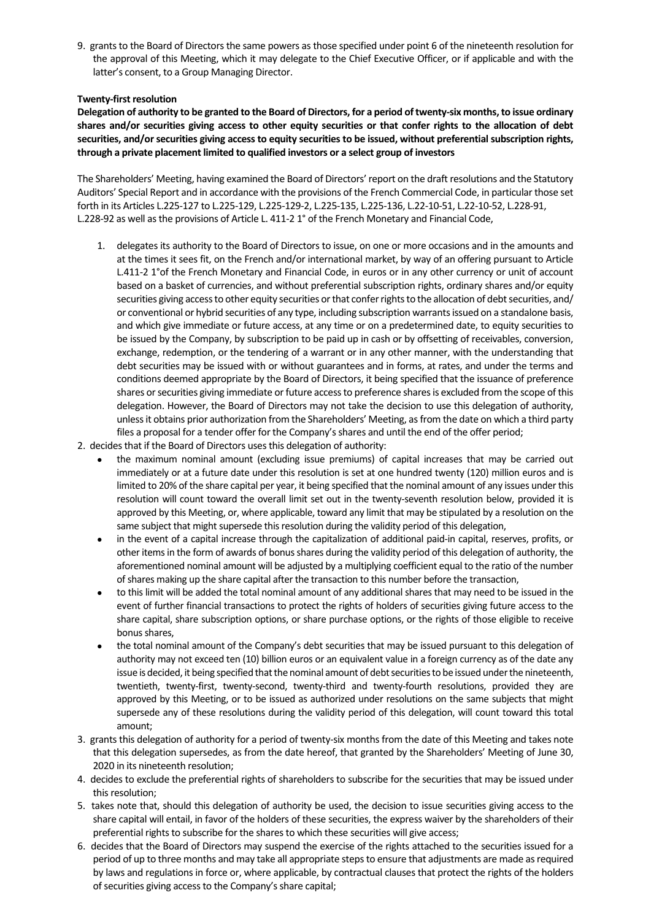9. grants to the Board of Directors the same powers as those specified under point 6 of the nineteenth resolution for the approval of this Meeting, which it may delegate to the Chief Executive Officer, or if applicable and with the latter's consent, to a Group Managing Director.

# **Twenty‐first resolution**

Delegation of authority to be granted to the Board of Directors, for a period of twenty-six months, to issue ordinary shares and/or securities giving access to other equity securities or that confer rights to the allocation of debt **securities, and/orsecurities giving access to equity securities to be issued, without preferential subscription rights, through a private placement limited to qualified investors or a select group of investors**

The Shareholders' Meeting, having examined the Board of Directors'report on the draft resolutions and the Statutory Auditors' Special Report and in accordance with the provisions of the French Commercial Code, in particular those set forth in its Articles L.225‐127 to L.225‐129, L.225‐129‐2, L.225‐135, L.225‐136, L.22‐10‐51, L.22‐10‐52, L.228‐91, L.228-92 as well as the provisions of Article L. 411-2 1° of the French Monetary and Financial Code,

- 1. delegates its authority to the Board of Directors to issue, on one or more occasions and in the amounts and at the times it sees fit, on the French and/or international market, by way of an offering pursuant to Article L.411-2 1° of the French Monetary and Financial Code, in euros or in any other currency or unit of account based on a basket of currencies, and without preferential subscription rights, ordinary shares and/or equity securities giving access to other equity securities or that confer rights to the allocation of debt securities, and/ or conventional or hybrid securities of any type, including subscription warrantsissued on a standalone basis, and which give immediate or future access, at any time or on a predetermined date, to equity securities to be issued by the Company, by subscription to be paid up in cash or by offsetting of receivables, conversion, exchange, redemption, or the tendering of a warrant or in any other manner, with the understanding that debt securities may be issued with or without guarantees and in forms, at rates, and under the terms and conditions deemed appropriate by the Board of Directors, it being specified that the issuance of preference shares or securities giving immediate or future access to preference shares is excluded from the scope of this delegation. However, the Board of Directors may not take the decision to use this delegation of authority, unless it obtains prior authorization from the Shareholders' Meeting, as from the date on which a third party files a proposal for a tender offer for the Company's shares and until the end of the offer period;
- 2. decides that if the Board of Directors uses this delegation of authority:
	- the maximum nominal amount (excluding issue premiums) of capital increases that may be carried out immediately or at a future date under this resolution is set at one hundred twenty (120) million euros and is limited to 20% of the share capital per year, it being specified that the nominal amount of any issues under this resolution will count toward the overall limit set out in the twenty-seventh resolution below, provided it is approved by this Meeting, or, where applicable, toward any limit that may be stipulated by a resolution on the same subject that might supersede this resolution during the validity period of this delegation,
	- in the event of a capital increase through the capitalization of additional paid‐in capital, reserves, profits, or other itemsin the form of awards of bonusshares during the validity period of this delegation of authority, the aforementioned nominal amount will be adjusted by a multiplying coefficient equal to the ratio of the number ofshares making up the share capital after the transaction to this number before the transaction,
	- to this limit will be added the total nominal amount of any additional sharesthat may need to be issued in the event of further financial transactions to protect the rights of holders of securities giving future access to the share capital, share subscription options, or share purchase options, or the rights of those eligible to receive bonus shares.
	- the total nominal amount of the Company's debt securities that may be issued pursuant to this delegation of authority may not exceed ten (10) billion euros or an equivalent value in a foreign currency as of the date any issue is decided, it being specified that the nominal amount of debt securities to be issued under the nineteenth, twentieth, twenty‐first, twenty‐second, twenty‐third and twenty‐fourth resolutions, provided they are approved by this Meeting, or to be issued as authorized under resolutions on the same subjects that might supersede any of these resolutions during the validity period of this delegation, will count toward this total amount;
- 3. grants this delegation of authority for a period of twenty-six months from the date of this Meeting and takes note that this delegation supersedes, as from the date hereof, that granted by the Shareholders' Meeting of June 30, 2020 in its nineteenth resolution;
- 4. decides to exclude the preferential rights of shareholders to subscribe for the securities that may be issued under this resolution;
- 5. takes note that, should this delegation of authority be used, the decision to issue securities giving access to the share capital will entail, in favor of the holders of these securities, the express waiver by the shareholders of their preferential rights to subscribe for the shares to which these securities will give access;
- 6. decides that the Board of Directors may suspend the exercise of the rights attached to the securities issued for a period of up to three months and may take all appropriate steps to ensure that adjustments are made as required by laws and regulations in force or, where applicable, by contractual clausesthat protect the rights of the holders of securities giving access to the Company's share capital;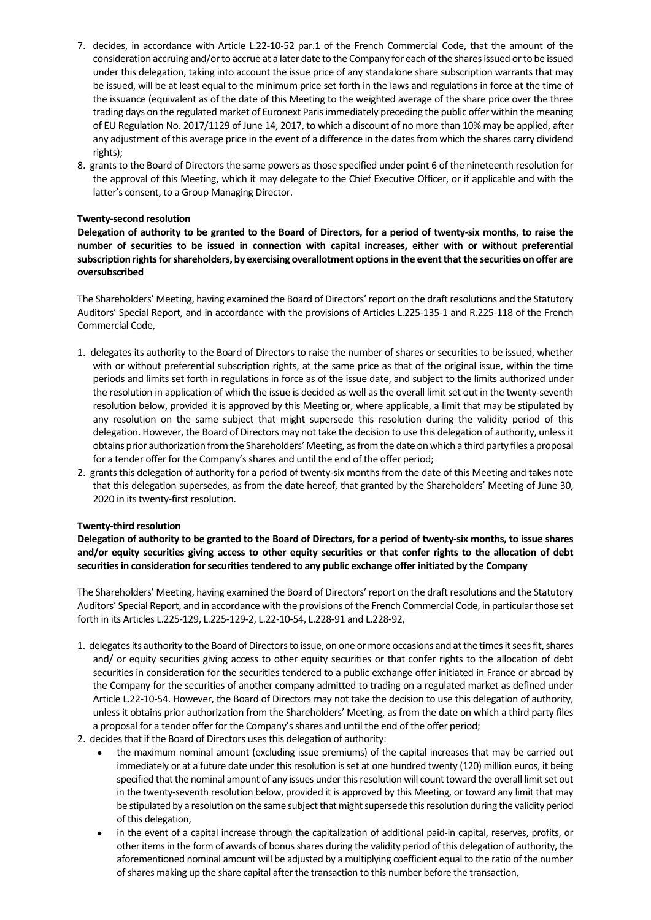- 7. decides, in accordance with Article L.22-10-52 par.1 of the French Commercial Code, that the amount of the consideration accruing and/orto accrue at a later date to the Company for each ofthe sharesissued orto be issued under this delegation, taking into account the issue price of any standalone share subscription warrants that may be issued, will be at least equal to the minimum price set forth in the laws and regulations in force at the time of the issuance (equivalent as of the date of this Meeting to the weighted average of the share price over the three trading days on the regulated market of Euronext Parisimmediately preceding the public offer within the meaning of EU Regulation No. 2017/1129 of June 14, 2017, to which a discount of no more than 10% may be applied, after any adjustment of this average price in the event of a difference in the datesfrom which the shares carry dividend rights);
- 8. grants to the Board of Directors the same powers as those specified under point 6 of the nineteenth resolution for the approval of this Meeting, which it may delegate to the Chief Executive Officer, or if applicable and with the latter's consent, to a Group Managing Director.

# **Twenty‐second resolution**

Delegation of authority to be granted to the Board of Directors, for a period of twenty-six months, to raise the **number of securities to be issued in connection with capital increases, either with or without preferential subscription rightsforshareholders, by exercising overallotment optionsin the eventthatthe securities on offer are oversubscribed**

The Shareholders' Meeting, having examined the Board of Directors'report on the draft resolutions and the Statutory Auditors' Special Report, and in accordance with the provisions of Articles L.225‐135‐1 and R.225‐118 of the French Commercial Code,

- 1. delegates its authority to the Board of Directors to raise the number of shares or securities to be issued, whether with or without preferential subscription rights, at the same price as that of the original issue, within the time periods and limits set forth in regulations in force as of the issue date, and subject to the limits authorized under the resolution in application of which the issue is decided as well as the overall limit set out in the twenty-seventh resolution below, provided it is approved by this Meeting or, where applicable, a limit that may be stipulated by any resolution on the same subject that might supersede this resolution during the validity period of this delegation. However, the Board of Directors may not take the decision to use this delegation of authority, unless it obtains prior authorization from the Shareholders' Meeting, as from the date on which a third party files a proposal for a tender offer for the Company's shares and until the end of the offer period;
- 2. grants this delegation of authority for a period of twenty‐six months from the date of this Meeting and takes note that this delegation supersedes, as from the date hereof, that granted by the Shareholders' Meeting of June 30, 2020 in its twenty-first resolution.

#### **Twenty‐third resolution**

Delegation of authority to be granted to the Board of Directors, for a period of twenty-six months, to issue shares and/or equity securities giving access to other equity securities or that confer rights to the allocation of debt **securitiesin consideration forsecuritiestendered to any public exchange offer initiated by the Company**

The Shareholders' Meeting, having examined the Board of Directors'report on the draft resolutions and the Statutory Auditors' Special Report, and in accordance with the provisions of the French Commercial Code, in particular those set forth in its Articles L.225‐129, L.225‐129‐2, L.22‐10‐54, L.228‐91 and L.228‐92,

- 1. delegates its authority to the Board of Directors to issue, on one or more occasions and at the times it sees fit, shares and/ or equity securities giving access to other equity securities or that confer rights to the allocation of debt securities in consideration for the securities tendered to a public exchange offer initiated in France or abroad by the Company for the securities of another company admitted to trading on a regulated market as defined under Article L.22‐10‐54. However, the Board of Directors may not take the decision to use this delegation of authority, unless it obtains prior authorization from the Shareholders' Meeting, as from the date on which a third party files a proposal for a tender offer for the Company's shares and until the end of the offer period;
- 2. decides that if the Board of Directors uses this delegation of authority:
	- the maximum nominal amount (excluding issue premiums) of the capital increases that may be carried out immediately or at a future date under this resolution isset at one hundred twenty (120) million euros, it being specified that the nominal amount of any issues under this resolution will count toward the overall limit set out in the twenty‐seventh resolution below, provided it is approved by this Meeting, or toward any limit that may be stipulated by a resolution on the same subject that might supersede this resolution during the validity period of this delegation,
	- in the event of a capital increase through the capitalization of additional paid‐in capital, reserves, profits, or other itemsin the form of awards of bonusshares during the validity period of this delegation of authority, the aforementioned nominal amount will be adjusted by a multiplying coefficient equal to the ratio of the number ofshares making up the share capital after the transaction to this number before the transaction,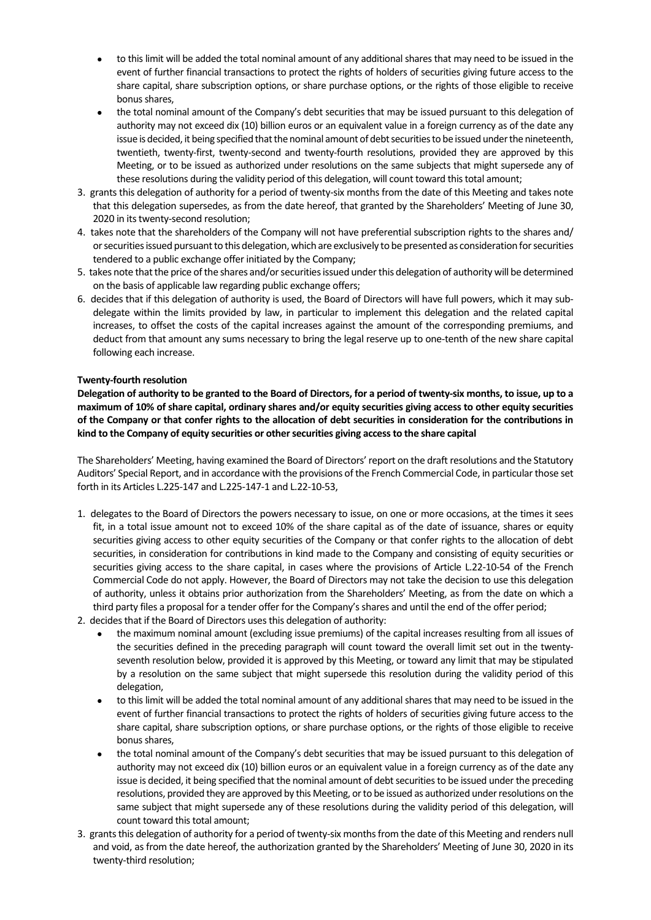- to this limit will be added the total nominal amount of any additional sharesthat may need to be issued in the event of further financial transactions to protect the rights of holders of securities giving future access to the share capital, share subscription options, or share purchase options, or the rights of those eligible to receive bonus shares,
- the total nominal amount of the Company's debt securities that may be issued pursuant to this delegation of authority may not exceed dix (10) billion euros or an equivalent value in a foreign currency as of the date any issue is decided, it being specified that the nominal amount of debt securities to be issued under the nineteenth, twentieth, twenty‐first, twenty‐second and twenty‐fourth resolutions, provided they are approved by this Meeting, or to be issued as authorized under resolutions on the same subjects that might supersede any of these resolutions during the validity period of this delegation, will count toward this total amount;
- 3. grants this delegation of authority for a period of twenty-six months from the date of this Meeting and takes note that this delegation supersedes, as from the date hereof, that granted by the Shareholders' Meeting of June 30, 2020 in its twenty-second resolution;
- 4. takes note that the shareholders of the Company will not have preferential subscription rights to the shares and/ or securities issued pursuant to this delegation, which are exclusively to be presented as consideration for securities tendered to a public exchange offer initiated by the Company;
- 5. takes note that the price of the shares and/or securities issued under this delegation of authority will be determined on the basis of applicable law regarding public exchange offers;
- 6. decides that if this delegation of authority is used, the Board of Directors will have full powers, which it may sub‐ delegate within the limits provided by law, in particular to implement this delegation and the related capital increases, to offset the costs of the capital increases against the amount of the corresponding premiums, and deduct from that amount any sums necessary to bring the legal reserve up to one‐tenth of the new share capital following each increase.

# **Twenty‐fourth resolution**

Delegation of authority to be granted to the Board of Directors, for a period of twenty-six months, to issue, up to a maximum of 10% of share capital, ordinary shares and/or equity securities giving access to other equity securities of the Company or that confer rights to the allocation of debt securities in consideration for the contributions in **kind to the Company of equity securities or othersecurities giving accessto the share capital**

The Shareholders' Meeting, having examined the Board of Directors'report on the draft resolutions and the Statutory Auditors' Special Report, and in accordance with the provisions of the French Commercial Code, in particular those set forth in its Articles L.225‐147 and L.225‐147‐1 and L.22‐10‐53,

- 1. delegates to the Board of Directors the powers necessary to issue, on one or more occasions, at the times it sees fit, in a total issue amount not to exceed 10% of the share capital as of the date of issuance, shares or equity securities giving access to other equity securities of the Company or that confer rights to the allocation of debt securities, in consideration for contributions in kind made to the Company and consisting of equity securities or securities giving access to the share capital, in cases where the provisions of Article L.22‐10‐54 of the French Commercial Code do not apply. However, the Board of Directors may not take the decision to use this delegation of authority, unless it obtains prior authorization from the Shareholders' Meeting, as from the date on which a third party files a proposal for a tender offer for the Company'sshares and until the end of the offer period;
- 2. decides that if the Board of Directors uses this delegation of authority:
	- the maximum nominal amount (excluding issue premiums) of the capital increases resulting from all issues of the securities defined in the preceding paragraph will count toward the overall limit set out in the twenty‐ seventh resolution below, provided it is approved by this Meeting, or toward any limit that may be stipulated by a resolution on the same subject that might supersede this resolution during the validity period of this delegation,
	- to this limit will be added the total nominal amount of any additional shares that may need to be issued in the event of further financial transactions to protect the rights of holders of securities giving future access to the share capital, share subscription options, or share purchase options, or the rights of those eligible to receive bonus shares,
	- the total nominal amount of the Company's debt securities that may be issued pursuant to this delegation of authority may not exceed dix (10) billion euros or an equivalent value in a foreign currency as of the date any issue is decided, it being specified that the nominal amount of debt securities to be issued under the preceding resolutions, provided they are approved by this Meeting, or to be issued as authorized under resolutions on the same subject that might supersede any of these resolutions during the validity period of this delegation, will count toward this total amount;
- 3. grants this delegation of authority for a period of twenty-six months from the date of this Meeting and renders null and void, as from the date hereof, the authorization granted by the Shareholders' Meeting of June 30, 2020 in its twenty‐third resolution;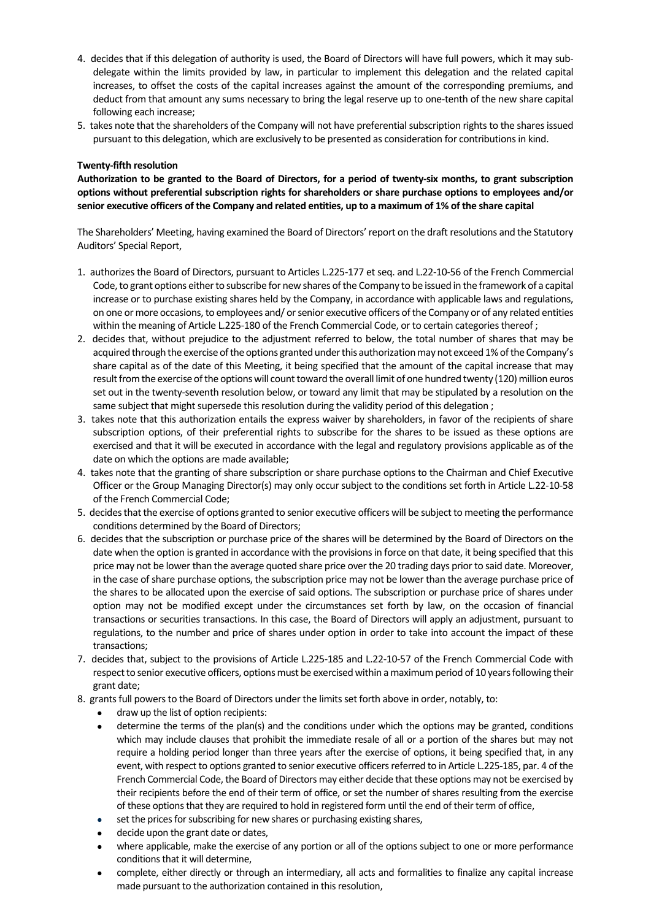- 4. decides that if this delegation of authority is used, the Board of Directors will have full powers, which it may sub‐ delegate within the limits provided by law, in particular to implement this delegation and the related capital increases, to offset the costs of the capital increases against the amount of the corresponding premiums, and deduct from that amount any sums necessary to bring the legal reserve up to one‐tenth of the new share capital following each increase;
- 5. takes note that the shareholders of the Company will not have preferential subscription rights to the shares issued pursuant to this delegation, which are exclusively to be presented as consideration for contributionsin kind.

# **Twenty‐fifth resolution**

Authorization to be granted to the Board of Directors, for a period of twenty-six months, to grant subscription **options without preferential subscription rights for shareholders or share purchase options to employees and/or** senior executive officers of the Company and related entities, up to a maximum of 1% of the share capital

The Shareholders' Meeting, having examined the Board of Directors'report on the draft resolutions and the Statutory Auditors' Special Report,

- 1. authorizes the Board of Directors, pursuant to Articles L.225‐177 et seq. and L.22‐10‐56 of the French Commercial Code, to grant options either to subscribe for new shares of the Company to be issued in the framework of a capital increase or to purchase existing shares held by the Company, in accordance with applicable laws and regulations, on one or more occasions, to employees and/ or senior executive officers of the Company or of any related entities within the meaning of Article L.225-180 of the French Commercial Code, or to certain categories thereof ;
- 2. decides that, without prejudice to the adjustment referred to below, the total number of shares that may be acquired through the exercise of the options granted under this authorization may not exceed 1% of the Company's share capital as of the date of this Meeting, it being specified that the amount of the capital increase that may result from the exercise of the options will count toward the overall limit of one hundred twenty (120) million euros set out in the twenty-seventh resolution below, or toward any limit that may be stipulated by a resolution on the same subject that might supersede this resolution during the validity period of this delegation ;
- 3. takes note that this authorization entails the express waiver by shareholders, in favor of the recipients of share subscription options, of their preferential rights to subscribe for the shares to be issued as these options are exercised and that it will be executed in accordance with the legal and regulatory provisions applicable as of the date on which the options are made available;
- 4. takes note that the granting of share subscription or share purchase options to the Chairman and Chief Executive Officer or the Group Managing Director(s) may only occur subject to the conditions set forth in Article L.22‐10‐58 of the French Commercial Code;
- 5. decides that the exercise of options granted to senior executive officers will be subject to meeting the performance conditions determined by the Board of Directors;
- 6. decides that the subscription or purchase price of the shares will be determined by the Board of Directors on the date when the option is granted in accordance with the provisions in force on that date, it being specified that this price may not be lower than the average quoted share price over the 20 trading days prior to said date. Moreover, in the case of share purchase options, the subscription price may not be lower than the average purchase price of the shares to be allocated upon the exercise of said options. The subscription or purchase price of shares under option may not be modified except under the circumstances set forth by law, on the occasion of financial transactions or securities transactions. In this case, the Board of Directors will apply an adjustment, pursuant to regulations, to the number and price of shares under option in order to take into account the impact of these transactions;
- 7. decides that, subject to the provisions of Article L.225‐185 and L.22‐10‐57 of the French Commercial Code with respect to senior executive officers, options must be exercised within a maximum period of 10 years following their grant date;
- 8. grants full powers to the Board of Directors under the limits set forth above in order, notably, to:
	- draw up the list of option recipients:
	- determine the terms of the plan(s) and the conditions under which the options may be granted, conditions which may include clauses that prohibit the immediate resale of all or a portion of the shares but may not require a holding period longer than three years after the exercise of options, it being specified that, in any event, with respect to options granted to senior executive officers referred to in Article L.225-185, par. 4 of the French Commercial Code, the Board of Directors may either decide that these options may not be exercised by their recipients before the end of their term of office, or set the number of shares resulting from the exercise of these options that they are required to hold in registered form until the end of their term of office,
	- set the prices for subscribing for new shares or purchasing existing shares,
	- decide upon the grant date or dates,
	- where applicable, make the exercise of any portion or all of the options subject to one or more performance conditions that it will determine.
	- complete, either directly or through an intermediary, all acts and formalities to finalize any capital increase made pursuant to the authorization contained in this resolution,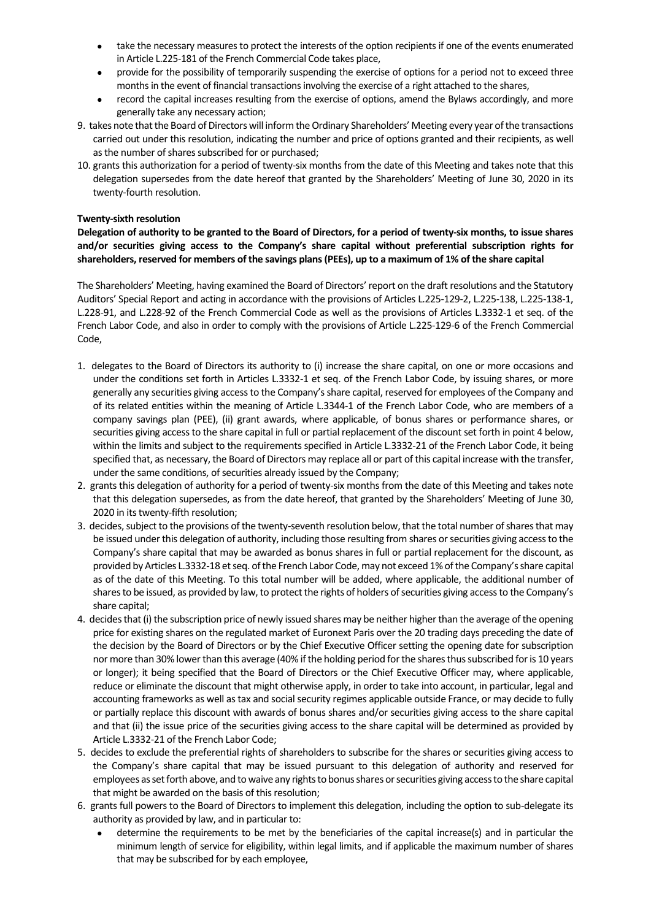- take the necessary measures to protect the interests of the option recipients if one of the events enumerated in Article L.225‐181 of the French Commercial Code takes place,
- provide for the possibility of temporarily suspending the exercise of options for a period not to exceed three months in the event of financial transactions involving the exercise of a right attached to the shares,
- record the capital increases resulting from the exercise of options, amend the Bylaws accordingly, and more generally take any necessary action;
- 9. takes note that the Board of Directors will inform the Ordinary Shareholders' Meeting every year of the transactions carried out under this resolution, indicating the number and price of options granted and their recipients, as well as the number of shares subscribed for or purchased;
- 10. grants this authorization for a period of twenty‐six months from the date of this Meeting and takes note that this delegation supersedes from the date hereof that granted by the Shareholders' Meeting of June 30, 2020 in its twenty‐fourth resolution.

## **Twenty‐sixth resolution**

Delegation of authority to be granted to the Board of Directors, for a period of twenty-six months, to issue shares **and/or securities giving access to the Company's share capital without preferential subscription rights for** shareholders, reserved for members of the savings plans (PEEs), up to a maximum of 1% of the share capital

The Shareholders' Meeting, having examined the Board of Directors'report on the draft resolutions and the Statutory Auditors' Special Report and acting in accordance with the provisions of Articles L.225‐129‐2, L.225‐138, L.225‐138‐1, L.228‐91, and L.228‐92 of the French Commercial Code as well as the provisions of Articles L.3332‐1 et seq. of the French Labor Code, and also in order to comply with the provisions of Article L.225-129-6 of the French Commercial Code,

- 1. delegates to the Board of Directors its authority to (i) increase the share capital, on one or more occasions and under the conditions set forth in Articles L.3332‐1 et seq. of the French Labor Code, by issuing shares, or more generally any securities giving accessto the Company'sshare capital, reserved for employees of the Company and of its related entities within the meaning of Article L.3344‐1 of the French Labor Code, who are members of a company savings plan (PEE), (ii) grant awards, where applicable, of bonus shares or performance shares, or securities giving access to the share capital in full or partial replacement of the discount set forth in point 4 below, within the limits and subject to the requirements specified in Article L.3332‐21 of the French Labor Code, it being specified that, as necessary, the Board of Directors may replace all or part of this capital increase with the transfer, under the same conditions, of securities already issued by the Company;
- 2. grants this delegation of authority for a period of twenty-six months from the date of this Meeting and takes note that this delegation supersedes, as from the date hereof, that granted by the Shareholders' Meeting of June 30, 2020 in its twenty-fifth resolution;
- 3. decides, subject to the provisions of the twenty-seventh resolution below, that the total number of shares that may be issued under this delegation of authority, including those resulting from shares or securities giving access to the Company's share capital that may be awarded as bonus shares in full or partial replacement for the discount, as provided by Articles L.3332-18 et seq. of the French Labor Code, may not exceed 1% of the Company's share capital as of the date of this Meeting. To this total number will be added, where applicable, the additional number of shares to be issued, as provided by law, to protect the rights of holders of securities giving access to the Company's share capital;
- 4. decides that (i) the subscription price of newly issued shares may be neither higher than the average of the opening price for existing shares on the regulated market of Euronext Paris over the 20 trading days preceding the date of the decision by the Board of Directors or by the Chief Executive Officer setting the opening date for subscription nor more than 30% lower than this average (40% if the holding period for the shares thus subscribed for is 10 years or longer); it being specified that the Board of Directors or the Chief Executive Officer may, where applicable, reduce or eliminate the discount that might otherwise apply, in order to take into account, in particular, legal and accounting frameworks as well as tax and social security regimes applicable outside France, or may decide to fully or partially replace this discount with awards of bonus shares and/or securities giving access to the share capital and that (ii) the issue price of the securities giving access to the share capital will be determined as provided by Article L.3332‐21 of the French Labor Code;
- 5. decides to exclude the preferential rights of shareholders to subscribe for the shares or securities giving access to the Company's share capital that may be issued pursuant to this delegation of authority and reserved for employees as set forth above, and to waive any rights to bonus shares or securities giving access to the share capital that might be awarded on the basis of this resolution;
- 6. grants full powers to the Board of Directors to implement this delegation, including the option to sub-delegate its authority as provided by law, and in particular to:
	- determine the requirements to be met by the beneficiaries of the capital increase(s) and in particular the minimum length of service for eligibility, within legal limits, and if applicable the maximum number of shares that may be subscribed for by each employee,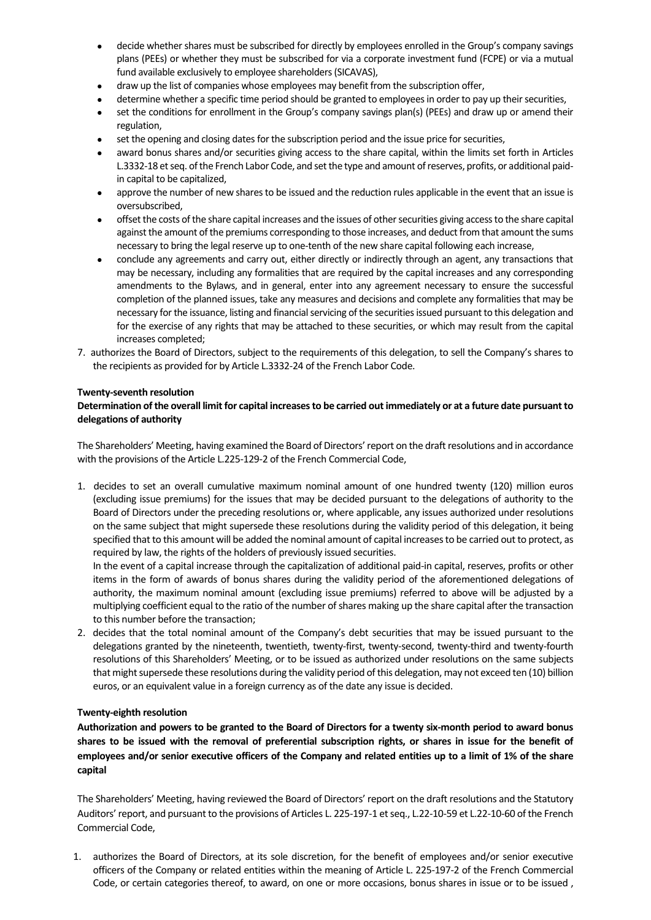- decide whether shares must be subscribed for directly by employees enrolled in the Group's company savings plans (PEEs) or whether they must be subscribed for via a corporate investment fund (FCPE) or via a mutual fund available exclusively to employee shareholders(SICAVAS),
- draw up the list of companies whose employees may benefit from the subscription offer,
- determine whether a specific time period should be granted to employees in order to pay up their securities,
- set the conditions for enrollment in the Group's company savings plan(s) (PEEs) and draw up or amend their regulation,
- set the opening and closing dates for the subscription period and the issue price for securities,
- award bonus shares and/or securities giving access to the share capital, within the limits set forth in Articles L.3332-18 et seq. of the French Labor Code, and set the type and amount of reserves, profits, or additional paidin capital to be capitalized,
- approve the number of new sharesto be issued and the reduction rules applicable in the event that an issue is oversubscribed,
- offset the costs of the share capital increases and the issues of other securities giving access to the share capital against the amount of the premiums corresponding to those increases, and deduct from that amount the sums necessary to bring the legal reserve up to one-tenth of the new share capital following each increase,
- conclude any agreements and carry out, either directly or indirectly through an agent, any transactions that may be necessary, including any formalities that are required by the capital increases and any corresponding amendments to the Bylaws, and in general, enter into any agreement necessary to ensure the successful completion of the planned issues, take any measures and decisions and complete any formalities that may be necessary for the issuance, listing and financial servicing of the securities issued pursuant to this delegation and for the exercise of any rights that may be attached to these securities, or which may result from the capital increases completed;
- 7. authorizes the Board of Directors, subject to the requirements of this delegation, to sell the Company's shares to the recipients as provided for by Article L.3332‐24 of the French Labor Code.

# **Twenty‐seventh resolution**

# **Determination ofthe overall limitfor capital increasesto be carried outimmediately or at a future date pursuantto delegations of authority**

The Shareholders' Meeting, having examined the Board of Directors'report on the draftresolutions and in accordance with the provisions of the Article L.225‐129‐2 of the French Commercial Code,

1. decides to set an overall cumulative maximum nominal amount of one hundred twenty (120) million euros (excluding issue premiums) for the issues that may be decided pursuant to the delegations of authority to the Board of Directors under the preceding resolutions or, where applicable, any issues authorized under resolutions on the same subject that might supersede these resolutions during the validity period of this delegation, it being specified that to this amount will be added the nominal amount of capital increases to be carried out to protect, as required by law, the rights of the holders of previously issued securities.

In the event of a capital increase through the capitalization of additional paid‐in capital, reserves, profits or other items in the form of awards of bonus shares during the validity period of the aforementioned delegations of authority, the maximum nominal amount (excluding issue premiums) referred to above will be adjusted by a multiplying coefficient equal to the ratio of the number of shares making up the share capital after the transaction to this number before the transaction;

2. decides that the total nominal amount of the Company's debt securities that may be issued pursuant to the delegations granted by the nineteenth, twentieth, twenty-first, twenty-second, twenty-third and twenty-fourth resolutions of this Shareholders' Meeting, or to be issued as authorized under resolutions on the same subjects that might supersede these resolutions during the validity period of this delegation, may not exceed ten (10) billion euros, or an equivalent value in a foreign currency as of the date any issue is decided.

# **Twenty‐eighth resolution**

Authorization and powers to be granted to the Board of Directors for a twenty six-month period to award bonus shares to be issued with the removal of preferential subscription rights, or shares in issue for the benefit of employees and/or senior executive officers of the Company and related entities up to a limit of 1% of the share **capital**

The Shareholders' Meeting, having reviewed the Board of Directors' report on the draft resolutions and the Statutory Auditors' report, and pursuant to the provisions of Articles L. 225-197-1 et seq., L.22-10-59 et L.22-10-60 of the French Commercial Code,

1. authorizes the Board of Directors, at its sole discretion, for the benefit of employees and/or senior executive officers of the Company or related entities within the meaning of Article L. 225‐197‐2 of the French Commercial Code, or certain categories thereof, to award, on one or more occasions, bonus shares in issue or to be issued ,